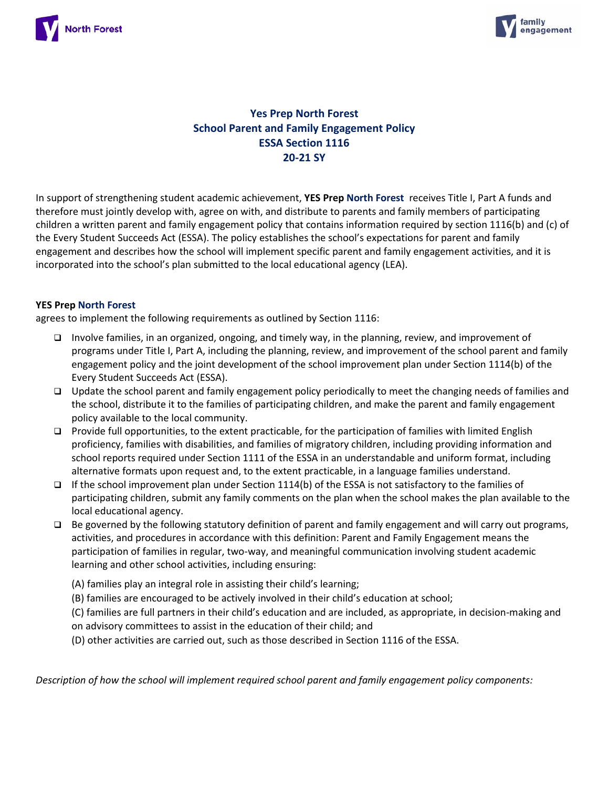



# **Yes Prep North Forest School Parent and Family Engagement Policy ESSA Section 1116 20-21 SY**

In support of strengthening student academic achievement, **YES Prep North Forest** receives Title I, Part A funds and therefore must jointly develop with, agree on with, and distribute to parents and family members of participating children a written parent and family engagement policy that contains information required by section 1116(b) and (c) of the Every Student Succeeds Act (ESSA). The policy establishes the school's expectations for parent and family engagement and describes how the school will implement specific parent and family engagement activities, and it is incorporated into the school's plan submitted to the local educational agency (LEA).

### **YES Prep North Forest**

agrees to implement the following requirements as outlined by Section 1116:

- Involve families, in an organized, ongoing, and timely way, in the planning, review, and improvement of programs under Title I, Part A, including the planning, review, and improvement of the school parent and family engagement policy and the joint development of the school improvement plan under Section 1114(b) of the Every Student Succeeds Act (ESSA).
- □ Update the school parent and family engagement policy periodically to meet the changing needs of families and the school, distribute it to the families of participating children, and make the parent and family engagement policy available to the local community.
- Provide full opportunities, to the extent practicable, for the participation of families with limited English proficiency, families with disabilities, and families of migratory children, including providing information and school reports required under Section 1111 of the ESSA in an understandable and uniform format, including alternative formats upon request and, to the extent practicable, in a language families understand.
- If the school improvement plan under Section 1114(b) of the ESSA is not satisfactory to the families of participating children, submit any family comments on the plan when the school makes the plan available to the local educational agency.
- $\Box$  Be governed by the following statutory definition of parent and family engagement and will carry out programs, activities, and procedures in accordance with this definition: Parent and Family Engagement means the participation of families in regular, two-way, and meaningful communication involving student academic learning and other school activities, including ensuring:
	- (A) families play an integral role in assisting their child's learning;
	- (B) families are encouraged to be actively involved in their child's education at school;
	- (C) families are full partners in their child's education and are included, as appropriate, in decision-making and on advisory committees to assist in the education of their child; and
	- (D) other activities are carried out, such as those described in Section 1116 of the ESSA.

*Description of how the school will implement required school parent and family engagement policy components:*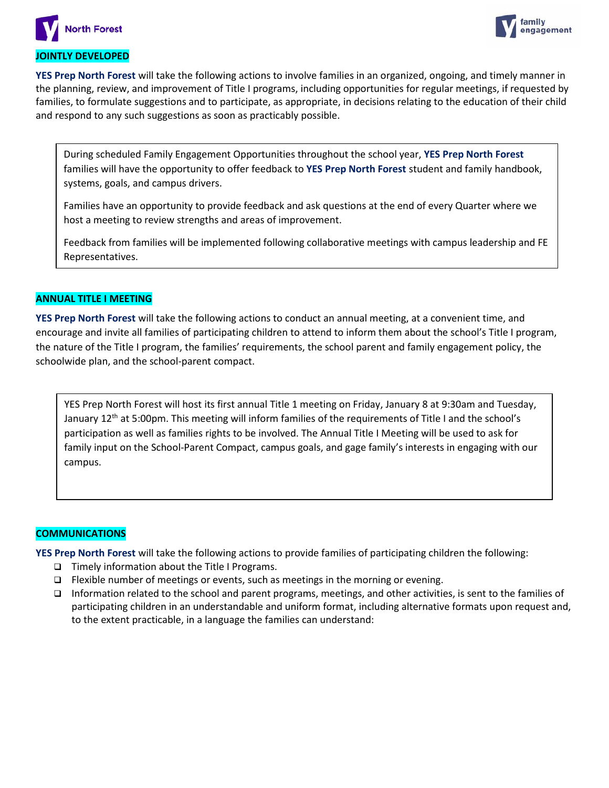



## **JOINTLY DEVELOPED**

**YES Prep North Forest** will take the following actions to involve families in an organized, ongoing, and timely manner in the planning, review, and improvement of Title I programs, including opportunities for regular meetings, if requested by families, to formulate suggestions and to participate, as appropriate, in decisions relating to the education of their child and respond to any such suggestions as soon as practicably possible.

During scheduled Family Engagement Opportunities throughout the school year, **YES Prep North Forest** families will have the opportunity to offer feedback to **YES Prep North Forest** student and family handbook, systems, goals, and campus drivers.

Families have an opportunity to provide feedback and ask questions at the end of every Quarter where we host a meeting to review strengths and areas of improvement.

Feedback from families will be implemented following collaborative meetings with campus leadership and FE Representatives.

### **ANNUAL TITLE I MEETING**

**YES Prep North Forest** will take the following actions to conduct an annual meeting, at a convenient time, and encourage and invite all families of participating children to attend to inform them about the school's Title I program, the nature of the Title I program, the families' requirements, the school parent and family engagement policy, the schoolwide plan, and the school-parent compact.

YES Prep North Forest will host its first annual Title 1 meeting on Friday, January 8 at 9:30am and Tuesday, January 12<sup>th</sup> at 5:00pm. This meeting will inform families of the requirements of Title I and the school's participation as well as families rights to be involved. The Annual Title I Meeting will be used to ask for family input on the School-Parent Compact, campus goals, and gage family's interests in engaging with our campus.

### **COMMUNICATIONS**

**YES Prep North Forest** will take the following actions to provide families of participating children the following:

- $\Box$  Timely information about the Title I Programs.
- $\Box$  Flexible number of meetings or events, such as meetings in the morning or evening.
- Information related to the school and parent programs, meetings, and other activities, is sent to the families of participating children in an understandable and uniform format, including alternative formats upon request and, to the extent practicable, in a language the families can understand: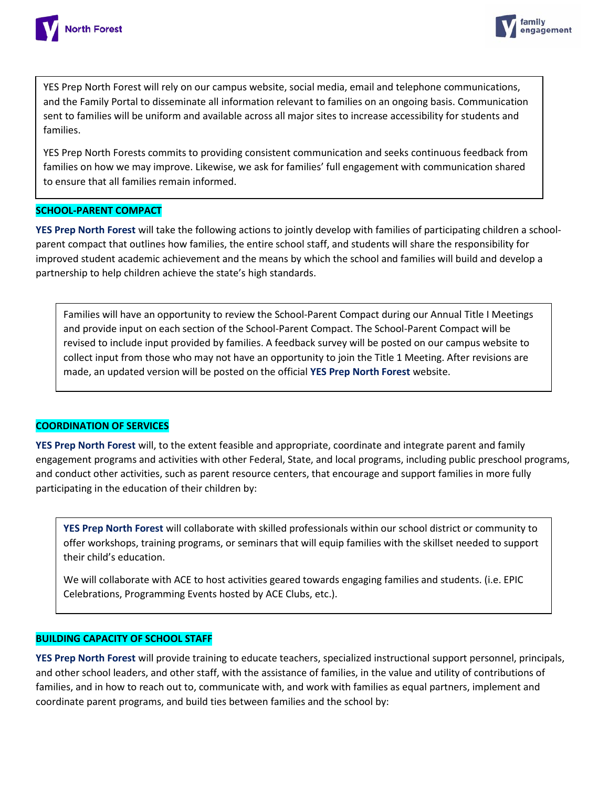



YES Prep North Forest will rely on our campus website, social media, email and telephone communications, and the Family Portal to disseminate all information relevant to families on an ongoing basis. Communication sent to families will be uniform and available across all major sites to increase accessibility for students and families.

YES Prep North Forests commits to providing consistent communication and seeks continuous feedback from families on how we may improve. Likewise, we ask for families' full engagement with communication shared to ensure that all families remain informed.

### **SCHOOL-PARENT COMPACT**

**YES Prep North Forest** will take the following actions to jointly develop with families of participating children a schoolparent compact that outlines how families, the entire school staff, and students will share the responsibility for improved student academic achievement and the means by which the school and families will build and develop a partnership to help children achieve the state's high standards.

Families will have an opportunity to review the School-Parent Compact during our Annual Title I Meetings and provide input on each section of the School-Parent Compact. The School-Parent Compact will be revised to include input provided by families. A feedback survey will be posted on our campus website to collect input from those who may not have an opportunity to join the Title 1 Meeting. After revisions are made, an updated version will be posted on the official **YES Prep North Forest** website.

### **COORDINATION OF SERVICES**

**YES Prep North Forest** will, to the extent feasible and appropriate, coordinate and integrate parent and family engagement programs and activities with other Federal, State, and local programs, including public preschool programs, and conduct other activities, such as parent resource centers, that encourage and support families in more fully participating in the education of their children by:

**YES Prep North Forest** will collaborate with skilled professionals within our school district or community to offer workshops, training programs, or seminars that will equip families with the skillset needed to support their child's education.

We will collaborate with ACE to host activities geared towards engaging families and students. (i.e. EPIC Celebrations, Programming Events hosted by ACE Clubs, etc.).

### **BUILDING CAPACITY OF SCHOOL STAFF**

**YES Prep North Forest** will provide training to educate teachers, specialized instructional support personnel, principals, and other school leaders, and other staff, with the assistance of families, in the value and utility of contributions of families, and in how to reach out to, communicate with, and work with families as equal partners, implement and coordinate parent programs, and build ties between families and the school by: